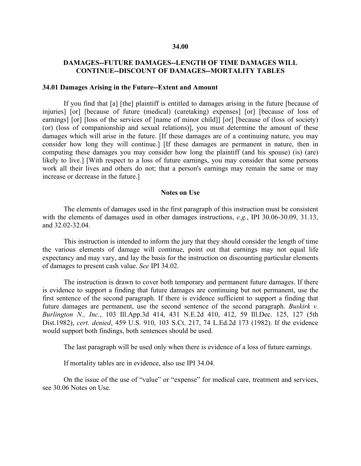#### **34.00**

#### **DAMAGES--FUTURE DAMAGES--LENGTH OF TIME DAMAGES WILL CONTINUE--DISCOUNT OF DAMAGES--MORTALITY TABLES**

#### **34.01 Damages Arising in the Future--Extent and Amount**

If you find that [a] [the] plaintiff is entitled to damages arising in the future [because of injuries] [or] [because of future (medical) (caretaking) expenses] [or] [because of loss of earnings] [or] [loss of the services of [name of minor child]] [or] [because of (loss of society) (or) (loss of companionship and sexual relations)], you must determine the amount of these damages which will arise in the future. [If these damages are of a continuing nature, you may consider how long they will continue.] [If these damages are permanent in nature, then in computing these damages you may consider how long the plaintiff (and his spouse) (is) (are) likely to live.] [With respect to a loss of future earnings, you may consider that some persons work all their lives and others do not; that a person's earnings may remain the same or may increase or decrease in the future.]

#### **Notes on Use**

The elements of damages used in the first paragraph of this instruction must be consistent with the elements of damages used in other damages instructions, *e.g.*, IPI 30.06-30.09, 31.13, and 32.02-32.04.

This instruction is intended to inform the jury that they should consider the length of time the various elements of damage will continue, point out that earnings may not equal life expectancy and may vary, and lay the basis for the instruction on discounting particular elements of damages to present cash value. *See* IPI 34.02.

The instruction is drawn to cover both temporary and permanent future damages. If there is evidence to support a finding that future damages are continuing but not permanent, use the first sentence of the second paragraph. If there is evidence sufficient to support a finding that future damages are permanent, use the second sentence of the second paragraph. *Buskirk v. Burlington N., Inc.*, 103 Ill.App.3d 414, 431 N.E.2d 410, 412, 59 Ill.Dec. 125, 127 (5th Dist.1982), *cert. denied*, 459 U.S. 910, 103 S.Ct. 217, 74 L.Ed.2d 173 (1982). If the evidence would support both findings, both sentences should be used.

The last paragraph will be used only when there is evidence of a loss of future earnings.

If mortality tables are in evidence, also use IPI 34.04.

On the issue of the use of "value" or "expense" for medical care, treatment and services, see 30.06 Notes on Use.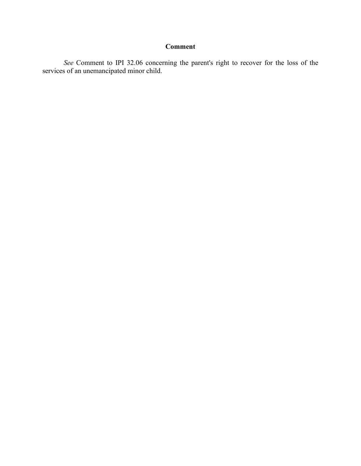## **Comment**

*See* Comment to IPI 32.06 concerning the parent's right to recover for the loss of the services of an unemancipated minor child.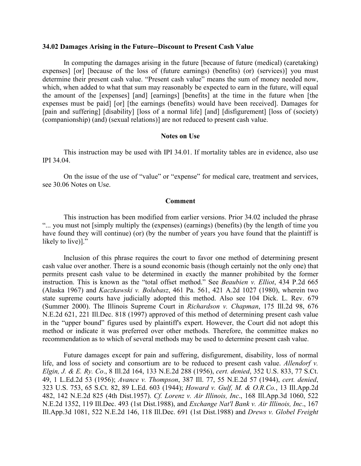#### **34.02 Damages Arising in the Future--Discount to Present Cash Value**

In computing the damages arising in the future [because of future (medical) (caretaking) expenses] [or] [because of the loss of (future earnings) (benefits) (or) (services)] you must determine their present cash value. "Present cash value" means the sum of money needed now, which, when added to what that sum may reasonably be expected to earn in the future, will equal the amount of the [expenses] [and] [earnings] [benefits] at the time in the future when [the expenses must be paid] [or] [the earnings (benefits) would have been received]. Damages for [pain and suffering] [disability] [loss of a normal life] [and] [disfigurement] [loss of (society) (companionship) (and) (sexual relations)] are not reduced to present cash value.

#### **Notes on Use**

This instruction may be used with IPI 34.01. If mortality tables are in evidence, also use IPI 34.04.

On the issue of the use of "value" or "expense" for medical care, treatment and services, see 30.06 Notes on Use.

#### **Comment**

This instruction has been modified from earlier versions. Prior 34.02 included the phrase "... you must not [simply multiply the (expenses) (earnings) (benefits) (by the length of time you have found they will continue) (or) (by the number of years you have found that the plaintiff is likely to live)]."

Inclusion of this phrase requires the court to favor one method of determining present cash value over another. There is a sound economic basis (though certainly not the only one) that permits present cash value to be determined in exactly the manner prohibited by the former instruction. This is known as the "total offset method." See *Beaubien v. Elliot*, 434 P.2d 665 (Alaska 1967) and *Kaczkawski v. Bolubasz*, 461 Pa. 561, 421 A.2d 1027 (1980), wherein two state supreme courts have judicially adopted this method. Also see 104 Dick. L. Rev. 679 (Summer 2000). The Illinois Supreme Court in *Richardson v. Chapman*, 175 Ill.2d 98, 676 N.E.2d 621, 221 Ill.Dec. 818 (1997) approved of this method of determining present cash value in the "upper bound" figures used by plaintiff's expert. However, the Court did not adopt this method or indicate it was preferred over other methods. Therefore, the committee makes no recommendation as to which of several methods may be used to determine present cash value.

Future damages except for pain and suffering, disfigurement, disability, loss of normal life, and loss of society and consortium are to be reduced to present cash value. *Allendorf v. Elgin, J. & E. Ry. Co*., 8 Ill.2d 164, 133 N.E.2d 288 (1956), *cert. denied*, 352 U.S. 833, 77 S.Ct. 49, 1 L.Ed.2d 53 (1956); *Avance v. Thompson*, 387 Ill. 77, 55 N.E.2d 57 (1944), *cert. denied*, 323 U.S. 753, 65 S.Ct. 82, 89 L.Ed. 603 (1944); *Howard v. Gulf, M. & O.R.Co.*, 13 Ill.App.2d 482, 142 N.E.2d 825 (4th Dist.1957). *Cf. Lorenz v. Air Illinois, Inc*., 168 Ill.App.3d 1060, 522 N.E.2d 1352, 119 Ill.Dec. 493 (1st Dist.1988), and *Exchange Nat'l Bank v. Air Illinois, Inc*., 167 Ill.App.3d 1081, 522 N.E.2d 146, 118 Ill.Dec. 691 (1st Dist.1988) and *Drews v. Globel Freight*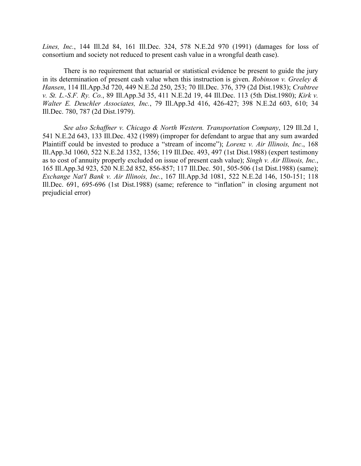*Lines, Inc.*, 144 Ill.2d 84, 161 Ill.Dec. 324, 578 N.E.2d 970 (1991) (damages for loss of consortium and society not reduced to present cash value in a wrongful death case).

There is no requirement that actuarial or statistical evidence be present to guide the jury in its determination of present cash value when this instruction is given. *Robinson v. Greeley & Hansen*, 114 Ill.App.3d 720, 449 N.E.2d 250, 253; 70 Ill.Dec. 376, 379 (2d Dist.1983); *Crabtree v. St. L.-S.F. Ry. Co.*, 89 Ill.App.3d 35, 411 N.E.2d 19, 44 Ill.Dec. 113 (5th Dist.1980); *Kirk v. Walter E. Deuchler Associates, Inc.*, 79 Ill.App.3d 416, 426-427; 398 N.E.2d 603, 610; 34 Ill.Dec. 780, 787 (2d Dist.1979).

*See also Schaffner v. Chicago & North Western. Transportation Company*, 129 Ill.2d 1, 541 N.E.2d 643, 133 Ill.Dec. 432 (1989) (improper for defendant to argue that any sum awarded Plaintiff could be invested to produce a "stream of income"); *Lorenz v. Air Illinois, Inc*., 168 Ill.App.3d 1060, 522 N.E.2d 1352, 1356; 119 Ill.Dec. 493, 497 (1st Dist.1988) (expert testimony as to cost of annuity properly excluded on issue of present cash value); *Singh v. Air Illinois, Inc.*, 165 Ill.App.3d 923, 520 N.E.2d 852, 856-857; 117 Ill.Dec. 501, 505-506 (1st Dist.1988) (same); *Exchange Nat'l Bank v. Air Illinois, Inc.*, 167 Ill.App.3d 1081, 522 N.E.2d 146, 150-151; 118 Ill.Dec. 691, 695-696 (1st Dist.1988) (same; reference to "inflation" in closing argument not prejudicial error)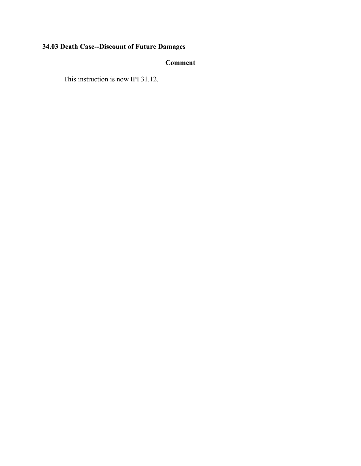## **34.03 Death Case--Discount of Future Damages**

## **Comment**

This instruction is now IPI 31.12.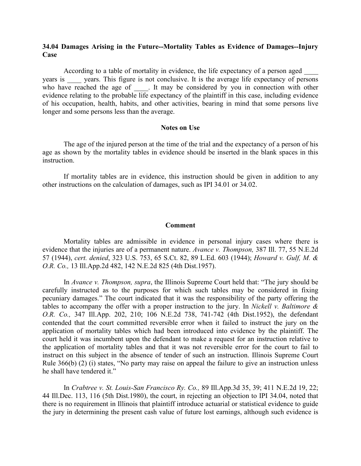#### **34.04 Damages Arising in the Future--Mortality Tables as Evidence of Damages--Injury Case**

According to a table of mortality in evidence, the life expectancy of a person aged years is vears. This figure is not conclusive. It is the average life expectancy of persons who have reached the age of . It may be considered by you in connection with other evidence relating to the probable life expectancy of the plaintiff in this case, including evidence of his occupation, health, habits, and other activities, bearing in mind that some persons live longer and some persons less than the average.

#### **Notes on Use**

The age of the injured person at the time of the trial and the expectancy of a person of his age as shown by the mortality tables in evidence should be inserted in the blank spaces in this instruction.

If mortality tables are in evidence, this instruction should be given in addition to any other instructions on the calculation of damages, such as IPI 34.01 or 34.02.

#### **Comment**

Mortality tables are admissible in evidence in personal injury cases where there is evidence that the injuries are of a permanent nature. *Avance v. Thompson,* 387 Ill. 77, 55 N.E.2d 57 (1944), *cert. denied*, 323 U.S. 753, 65 S.Ct. 82, 89 L.Ed. 603 (1944); *Howard v. Gulf, M. & O.R. Co.,* 13 Ill.App.2d 482, 142 N.E.2d 825 (4th Dist.1957).

In *Avance v. Thompson, supra*, the Illinois Supreme Court held that: "The jury should be carefully instructed as to the purposes for which such tables may be considered in fixing pecuniary damages." The court indicated that it was the responsibility of the party offering the tables to accompany the offer with a proper instruction to the jury. In *Nickell v. Baltimore & O.R. Co.,* 347 Ill.App. 202, 210; 106 N.E.2d 738, 741-742 (4th Dist.1952), the defendant contended that the court committed reversible error when it failed to instruct the jury on the application of mortality tables which had been introduced into evidence by the plaintiff. The court held it was incumbent upon the defendant to make a request for an instruction relative to the application of mortality tables and that it was not reversible error for the court to fail to instruct on this subject in the absence of tender of such an instruction. Illinois Supreme Court Rule 366(b) (2) (i) states, "No party may raise on appeal the failure to give an instruction unless he shall have tendered it."

In *Crabtree v. St. Louis-San Francisco Ry. Co.,* 89 Ill.App.3d 35, 39; 411 N.E.2d 19, 22; 44 Ill.Dec. 113, 116 (5th Dist.1980), the court, in rejecting an objection to IPI 34.04, noted that there is no requirement in Illinois that plaintiff introduce actuarial or statistical evidence to guide the jury in determining the present cash value of future lost earnings, although such evidence is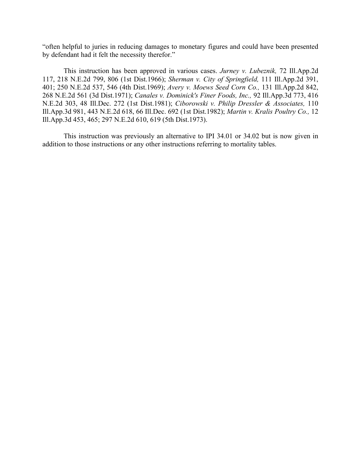"often helpful to juries in reducing damages to monetary figures and could have been presented by defendant had it felt the necessity therefor."

This instruction has been approved in various cases. *Jurney v. Lubeznik,* 72 Ill.App.2d 117, 218 N.E.2d 799, 806 (1st Dist.1966); *Sherman v. City of Springfield,* 111 Ill.App.2d 391, 401; 250 N.E.2d 537, 546 (4th Dist.1969); *Avery v. Moews Seed Corn Co.,* 131 Ill.App.2d 842, 268 N.E.2d 561 (3d Dist.1971); *Canales v. Dominick's Finer Foods, Inc.,* 92 Ill.App.3d 773, 416 N.E.2d 303, 48 Ill.Dec. 272 (1st Dist.1981); *Ciborowski v. Philip Dressler & Associates,* 110 Ill.App.3d 981, 443 N.E.2d 618, 66 Ill.Dec. 692 (1st Dist.1982); *Martin v. Kralis Poultry Co.,* 12 Ill.App.3d 453, 465; 297 N.E.2d 610, 619 (5th Dist.1973).

This instruction was previously an alternative to IPI 34.01 or 34.02 but is now given in addition to those instructions or any other instructions referring to mortality tables.